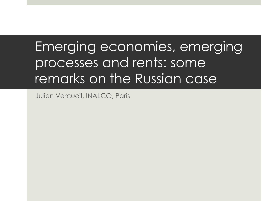# Emerging economies, emerging processes and rents: some remarks on the Russian case

Julien Vercueil, INALCO, Paris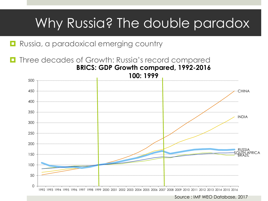# Why Russia? The double paradox

**Russia, a paradoxical emerging country** 

 Three decades of Growth: Russia's record compared **BRICS: GDP Growth compared, 1992-2016**



Source : IMF WEO Database, 2017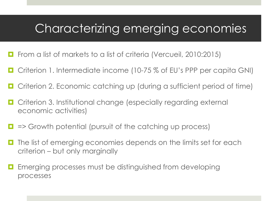#### Characterizing emerging economies

- **Fi** From a list of markets to a list of criteria (Vercueil, 2010:2015)
- Criterion 1. Intermediate income (10-75 % of EU's PPP per capita GNI)
- Criterion 2. Economic catching up (during a sufficient period of time)
- Criterion 3. Institutional change (especially regarding external economic activities)
- $\Box$  => Growth potential (pursuit of the catching up process)
- $\Box$  The list of emerging economies depends on the limits set for each criterion – but only marginally
- **Example 20 Emerging processes must be distinguished from developing** processes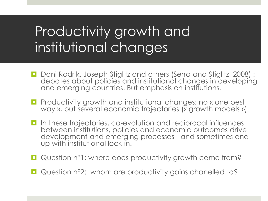# Productivity growth and institutional changes

- D Dani Rodrik, Joseph Stiglitz and others (Serra and Stiglitz, 2008): debates about policies and institutional changes in developing and emerging countries. But emphasis on institutions.
- **Part** Productivity growth and institutional changes: no « one best way », but several economic trajectories (« growth models »).
- $\Box$  In these trajectories, co-evolution and reciprocal influences between institutions, policies and economic outcomes drive development and emerging processes - and sometimes end up with institutional lock-in.
- Question n°1: where does productivity growth come from?
- Question n°2: whom are productivity gains chanelled to?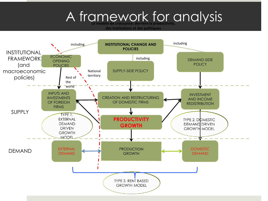# A framework for analysis

**des institutions et des politiques**

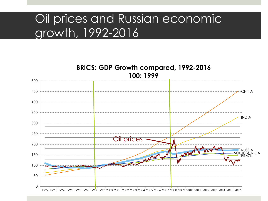#### Oil prices and Russian economic growth, 1992-2016

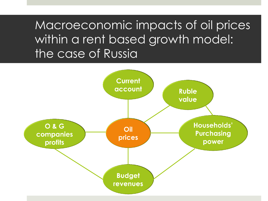Macroeconomic impacts of oil prices within a rent based growth model: the case of Russia

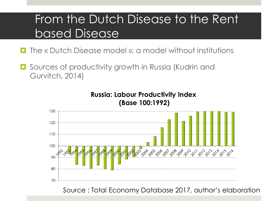## From the Dutch Disease to the Rent based Disease

- The « Dutch Disease model »: a model without institutions
- **O** Sources of productivity growth in Russia (Kudrin and Gurvitch, 2014)



Source : Total Economy Database 2017, author's elaboration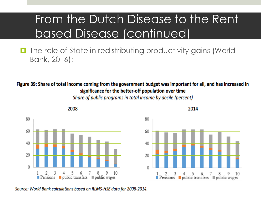## From the Dutch Disease to the Rent based Disease (continued)

**The role of State in redistributing productivity gains (World** Bank, 2016):

Figure 39: Share of total income coming from the government budget was important for all, and has increased in significance for the better-off population over time

Share of public programs in total income by decile (percent)



Source: World Bank calculations based on RLMS-HSE data for 2008-2014.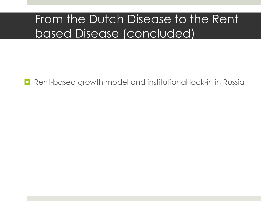## From the Dutch Disease to the Rent based Disease (concluded)

**Rent-based growth model and institutional lock-in in Russia**